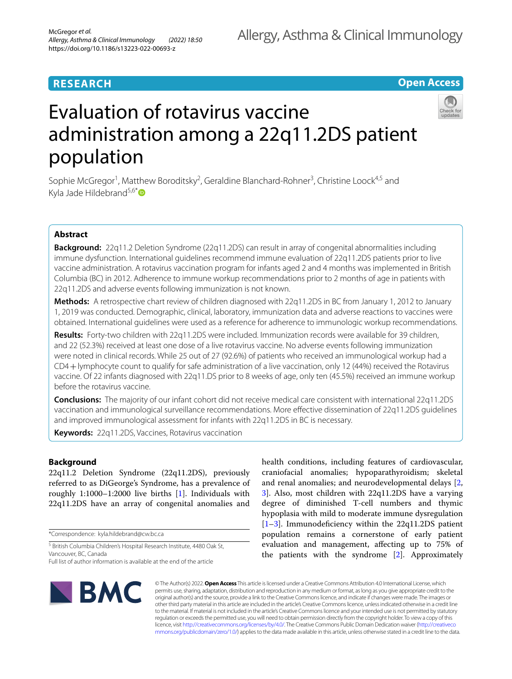## **RESEARCH**

## **Open Access**

# Evaluation of rotavirus vaccine administration among a 22q11.2DS patient population

Sophie McGregor<sup>1</sup>, Matthew Boroditsky<sup>2</sup>, Geraldine Blanchard-Rohner<sup>3</sup>, Christine Loock<sup>4,5</sup> and Kyla Jade Hildebrand $5.6*$ 

## **Abstract**

**Background:** 22q11.2 Deletion Syndrome (22q11.2DS) can result in array of congenital abnormalities including immune dysfunction. International guidelines recommend immune evaluation of 22q11.2DS patients prior to live vaccine administration. A rotavirus vaccination program for infants aged 2 and 4 months was implemented in British Columbia (BC) in 2012. Adherence to immune workup recommendations prior to 2 months of age in patients with 22q11.2DS and adverse events following immunization is not known.

**Methods:** A retrospective chart review of children diagnosed with 22q11.2DS in BC from January 1, 2012 to January 1, 2019 was conducted. Demographic, clinical, laboratory, immunization data and adverse reactions to vaccines were obtained. International guidelines were used as a reference for adherence to immunologic workup recommendations.

**Results:** Forty-two children with 22q11.2DS were included. Immunization records were available for 39 children, and 22 (52.3%) received at least one dose of a live rotavirus vaccine. No adverse events following immunization were noted in clinical records. While 25 out of 27 (92.6%) of patients who received an immunological workup had a CD4+lymphocyte count to qualify for safe administration of a live vaccination, only 12 (44%) received the Rotavirus vaccine. Of 22 infants diagnosed with 22q11.DS prior to 8 weeks of age, only ten (45.5%) received an immune workup before the rotavirus vaccine.

**Conclusions:** The majority of our infant cohort did not receive medical care consistent with international 22q11.2DS vaccination and immunological surveillance recommendations. More efective dissemination of 22q11.2DS guidelines and improved immunological assessment for infants with 22q11.2DS in BC is necessary.

**Keywords:** 22q11.2DS, Vaccines, Rotavirus vaccination

## **Background**

22q11.2 Deletion Syndrome (22q11.2DS), previously referred to as DiGeorge's Syndrome, has a prevalence of roughly 1:1000–1:2000 live births [\[1](#page-5-0)]. Individuals with 22q11.2DS have an array of congenital anomalies and

\*Correspondence: kyla.hildebrand@cw.bc.ca

<sup>5</sup> British Columbia Children's Hospital Research Institute, 4480 Oak St, Vancouver, BC, Canada

Full list of author information is available at the end of the article

health conditions, including features of cardiovascular, craniofacial anomalies; hypoparathyroidism; skeletal and renal anomalies; and neurodevelopmental delays [\[2](#page-5-1), [3\]](#page-5-2). Also, most children with 22q11.2DS have a varying degree of diminished T-cell numbers and thymic hypoplasia with mild to moderate immune dysregulation  $[1-3]$  $[1-3]$ . Immunodeficiency within the 22q11.2DS patient population remains a cornerstone of early patient evaluation and management, afecting up to 75% of the patients with the syndrome [[2\]](#page-5-1). Approximately



© The Author(s) 2022. **Open Access** This article is licensed under a Creative Commons Attribution 4.0 International License, which permits use, sharing, adaptation, distribution and reproduction in any medium or format, as long as you give appropriate credit to the original author(s) and the source, provide a link to the Creative Commons licence, and indicate if changes were made. The images or other third party material in this article are included in the article's Creative Commons licence, unless indicated otherwise in a credit line to the material. If material is not included in the article's Creative Commons licence and your intended use is not permitted by statutory regulation or exceeds the permitted use, you will need to obtain permission directly from the copyright holder. To view a copy of this licence, visit [http://creativecommons.org/licenses/by/4.0/.](http://creativecommons.org/licenses/by/4.0/) The Creative Commons Public Domain Dedication waiver ([http://creativeco](http://creativecommons.org/publicdomain/zero/1.0/) [mmons.org/publicdomain/zero/1.0/](http://creativecommons.org/publicdomain/zero/1.0/)) applies to the data made available in this article, unless otherwise stated in a credit line to the data.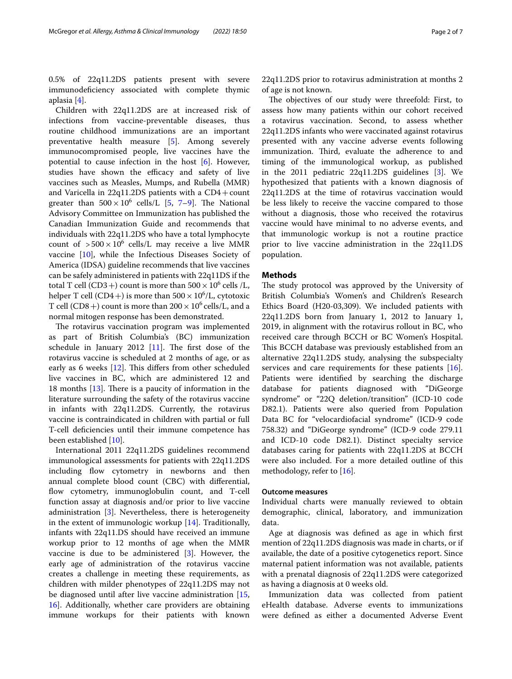0.5% of 22q11.2DS patients present with severe immunodefciency associated with complete thymic aplasia [[4\]](#page-5-3).

Children with 22q11.2DS are at increased risk of infections from vaccine-preventable diseases, thus routine childhood immunizations are an important preventative health measure [\[5](#page-5-4)]. Among severely immunocompromised people, live vaccines have the potential to cause infection in the host [[6\]](#page-5-5). However, studies have shown the efficacy and safety of live vaccines such as Measles, Mumps, and Rubella (MMR) and Varicella in 22q11.2DS patients with a CD4+count greater than  $500 \times 10^6$  cells/L [[5,](#page-5-4) [7](#page-5-6)[–9](#page-5-7)]. The National Advisory Committee on Immunization has published the Canadian Immunization Guide and recommends that individuals with 22q11.2DS who have a total lymphocyte count of  $>500 \times 10^6$  cells/L may receive a live MMR vaccine [[10](#page-5-8)], while the Infectious Diseases Society of America (IDSA) guideline recommends that live vaccines can be safely administered in patients with 22q11DS if the total T cell (CD3+) count is more than  $500 \times 10^6$  cells /L, helper T cell (CD4+) is more than  $500 \times 10^6$ /L, cytotoxic T cell (CD8+) count is more than  $200 \times 10^6$  cells/L, and a normal mitogen response has been demonstrated.

The rotavirus vaccination program was implemented as part of British Columbia's (BC) immunization schedule in January 2012  $[11]$  $[11]$  $[11]$ . The first dose of the rotavirus vaccine is scheduled at 2 months of age, or as early as 6 weeks  $[12]$  $[12]$  $[12]$ . This differs from other scheduled live vaccines in BC, which are administered 12 and 18 months  $[13]$  $[13]$ . There is a paucity of information in the literature surrounding the safety of the rotavirus vaccine in infants with 22q11.2DS. Currently, the rotavirus vaccine is contraindicated in children with partial or full T-cell defciencies until their immune competence has been established [[10\]](#page-5-8).

International 2011 22q11.2DS guidelines recommend immunological assessments for patients with 22q11.2DS including flow cytometry in newborns and then annual complete blood count (CBC) with diferential, flow cytometry, immunoglobulin count, and T-cell function assay at diagnosis and/or prior to live vaccine administration [[3](#page-5-2)]. Nevertheless, there is heterogeneity in the extent of immunologic workup [[14\]](#page-5-12). Traditionally, infants with 22q11.DS should have received an immune workup prior to 12 months of age when the MMR vaccine is due to be administered [\[3](#page-5-2)]. However, the early age of administration of the rotavirus vaccine creates a challenge in meeting these requirements, as children with milder phenotypes of 22q11.2DS may not be diagnosed until after live vaccine administration [\[15](#page-5-13), [16\]](#page-5-14). Additionally, whether care providers are obtaining immune workups for their patients with known 22q11.2DS prior to rotavirus administration at months 2 of age is not known.

The objectives of our study were threefold: First, to assess how many patients within our cohort received a rotavirus vaccination. Second, to assess whether 22q11.2DS infants who were vaccinated against rotavirus presented with any vaccine adverse events following immunization. Third, evaluate the adherence to and timing of the immunological workup, as published in the 2011 pediatric 22q11.2DS guidelines [\[3](#page-5-2)]. We hypothesized that patients with a known diagnosis of 22q11.2DS at the time of rotavirus vaccination would be less likely to receive the vaccine compared to those without a diagnosis, those who received the rotavirus vaccine would have minimal to no adverse events, and that immunologic workup is not a routine practice prior to live vaccine administration in the 22q11.DS population.

## **Methods**

The study protocol was approved by the University of British Columbia's Women's and Children's Research Ethics Board (H20-03,309). We included patients with 22q11.2DS born from January 1, 2012 to January 1, 2019, in alignment with the rotavirus rollout in BC, who received care through BCCH or BC Women's Hospital. This BCCH database was previously established from an alternative 22q11.2DS study, analysing the subspecialty services and care requirements for these patients [\[16](#page-5-14)]. Patients were identifed by searching the discharge database for patients diagnosed with "DiGeorge syndrome" or "22Q deletion/transition" (ICD-10 code D82.1). Patients were also queried from Population Data BC for "velocardiofacial syndrome" (ICD-9 code 758.32) and "DiGeorge syndrome" (ICD-9 code 279.11 and ICD-10 code D82.1). Distinct specialty service databases caring for patients with 22q11.2DS at BCCH were also included. For a more detailed outline of this methodology, refer to [\[16](#page-5-14)].

## **Outcome measures**

Individual charts were manually reviewed to obtain demographic, clinical, laboratory, and immunization data.

Age at diagnosis was defned as age in which frst mention of 22q11.2DS diagnosis was made in charts, or if available, the date of a positive cytogenetics report. Since maternal patient information was not available, patients with a prenatal diagnosis of 22q11.2DS were categorized as having a diagnosis at 0 weeks old.

Immunization data was collected from patient eHealth database. Adverse events to immunizations were defned as either a documented Adverse Event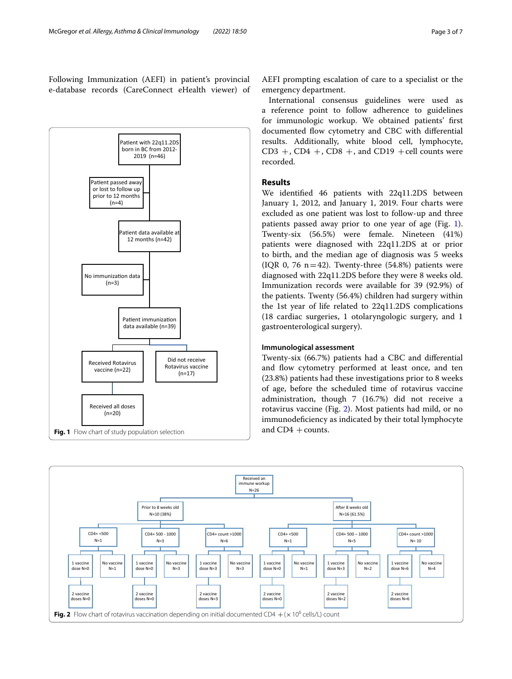Following Immunization (AEFI) in patient's provincial e-database records (CareConnect eHealth viewer) of



AEFI prompting escalation of care to a specialist or the emergency department.

International consensus guidelines were used as a reference point to follow adherence to guidelines for immunologic workup. We obtained patients' frst documented flow cytometry and CBC with differential results. Additionally, white blood cell, lymphocyte,  $CD3 +$ ,  $CD4 +$ ,  $CD8 +$ , and  $CD19 +$ cell counts were recorded.

## **Results**

We identifed 46 patients with 22q11.2DS between January 1, 2012, and January 1, 2019. Four charts were excluded as one patient was lost to follow-up and three patients passed away prior to one year of age (Fig. [1](#page-2-0)). Twenty-six (56.5%) were female. Nineteen (41%) patients were diagnosed with 22q11.2DS at or prior to birth, and the median age of diagnosis was 5 weeks (IQR 0, 76  $n=42$ ). Twenty-three (54.8%) patients were diagnosed with 22q11.2DS before they were 8 weeks old. Immunization records were available for 39 (92.9%) of the patients. Twenty (56.4%) children had surgery within the 1st year of life related to 22q11.2DS complications (18 cardiac surgeries, 1 otolaryngologic surgery, and 1 gastroenterological surgery).

#### **Immunological assessment**

Twenty-six (66.7%) patients had a CBC and diferential and flow cytometry performed at least once, and ten (23.8%) patients had these investigations prior to 8 weeks of age, before the scheduled time of rotavirus vaccine administration, though 7 (16.7%) did not receive a rotavirus vaccine (Fig. [2\)](#page-2-1). Most patients had mild, or no immunodefciency as indicated by their total lymphocyte and  $CD4$  + counts.

<span id="page-2-1"></span><span id="page-2-0"></span>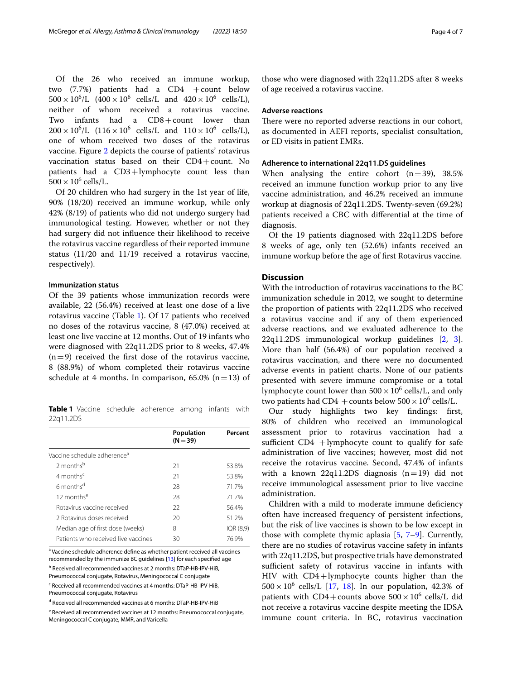Of the 26 who received an immune workup, two  $(7.7%)$  patients had a CD4 +count below  $500 \times 10^6$ /L  $(400 \times 10^6 \text{ cells/L} \text{ and } 420 \times 10^6 \text{ cells/L})$ , neither of whom received a rotavirus vaccine. Two infants had a CD8+count lower than  $200 \times 10^6$ /L  $(116 \times 10^6 \text{ cells/L} \text{ and } 110 \times 10^6 \text{ cells/L})$ , one of whom received two doses of the rotavirus vaccine. Figure [2](#page-2-1) depicts the course of patients' rotavirus vaccination status based on their CD4+count. No patients had a CD3+lymphocyte count less than  $500 \times 10^6$  cells/L.

Of 20 children who had surgery in the 1st year of life, 90% (18/20) received an immune workup, while only 42% (8/19) of patients who did not undergo surgery had immunological testing. However, whether or not they had surgery did not infuence their likelihood to receive the rotavirus vaccine regardless of their reported immune status (11/20 and 11/19 received a rotavirus vaccine, respectively).

#### **Immunization status**

Of the 39 patients whose immunization records were available, 22 (56.4%) received at least one dose of a live rotavirus vaccine (Table [1](#page-3-0)). Of 17 patients who received no doses of the rotavirus vaccine, 8 (47.0%) received at least one live vaccine at 12 months. Out of 19 infants who were diagnosed with 22q11.2DS prior to 8 weeks, 47.4%  $(n=9)$  received the first dose of the rotavirus vaccine, 8 (88.9%) of whom completed their rotavirus vaccine schedule at 4 months. In comparison,  $65.0\%$  (n=13) of

<span id="page-3-0"></span>**Table 1** Vaccine schedule adherence among infants with 22q11.2DS

|                                         | Population<br>$(N = 39)$ | Percent   |
|-----------------------------------------|--------------------------|-----------|
| Vaccine schedule adherence <sup>a</sup> |                          |           |
| $2$ months <sup>b</sup>                 | 21                       | 53.8%     |
| $4$ months <sup>c</sup>                 | 21                       | 53.8%     |
| 6 months <sup>d</sup>                   | 28                       | 71.7%     |
| 12 months <sup>e</sup>                  | 28                       | 71.7%     |
| Rotavirus vaccine received              | 22                       | 56.4%     |
| 2 Rotavirus doses received              | 20                       | 51.2%     |
| Median age of first dose (weeks)        | 8                        | IQR (8,9) |
| Patients who received live vaccines     | 30                       | 76.9%     |

<sup>a</sup> Vaccine schedule adherence define as whether patient received all vaccines recommended by the immunize BC guidelines [[13](#page-5-11)] for each specifed age

<sup>b</sup> Received all recommended vaccines at 2 months: DTaP-HB-IPV-HiB,

Pneumococcal conjugate, Rotavirus, Meningococcal C conjugate

<sup>c</sup> Received all recommended vaccines at 4 months: DTaP-HB-IPV-HiB, Pneumococcal conjugate, Rotavirus

<sup>d</sup> Received all recommended vaccines at 6 months: DTaP-HB-IPV-HiB

<sup>e</sup> Received all recommended vaccines at 12 months: Pneumococcal conjugate, Meningococcal C conjugate, MMR, and Varicella

those who were diagnosed with 22q11.2DS after 8 weeks of age received a rotavirus vaccine.

#### **Adverse reactions**

There were no reported adverse reactions in our cohort, as documented in AEFI reports, specialist consultation, or ED visits in patient EMRs.

### **Adherence to international 22q11.DS guidelines**

When analysing the entire cohort  $(n=39)$ , 38.5% received an immune function workup prior to any live vaccine administration, and 46.2% received an immune workup at diagnosis of 22q11.2DS. Twenty-seven (69.2%) patients received a CBC with diferential at the time of diagnosis.

Of the 19 patients diagnosed with 22q11.2DS before 8 weeks of age, only ten (52.6%) infants received an immune workup before the age of frst Rotavirus vaccine.

## **Discussion**

With the introduction of rotavirus vaccinations to the BC immunization schedule in 2012, we sought to determine the proportion of patients with 22q11.2DS who received a rotavirus vaccine and if any of them experienced adverse reactions*,* and we evaluated adherence to the 22q11.2DS immunological workup guidelines [\[2](#page-5-1), [3](#page-5-2)]. More than half (56.4%) of our population received a rotavirus vaccination, and there were no documented adverse events in patient charts. None of our patients presented with severe immune compromise or a total lymphocyte count lower than  $500 \times 10^6$  cells/L, and only two patients had CD4 + counts below  $500 \times 10^6$  cells/L.

Our study highlights two key fndings: frst, 80% of children who received an immunological assessment prior to rotavirus vaccination had a sufficient  $CD4$  +lymphocyte count to qualify for safe administration of live vaccines; however, most did not receive the rotavirus vaccine. Second, 47.4% of infants with a known 22q11.2DS diagnosis  $(n=19)$  did not receive immunological assessment prior to live vaccine administration.

Children with a mild to moderate immune defciency often have increased frequency of persistent infections, but the risk of live vaccines is shown to be low except in those with complete thymic aplasia [\[5](#page-5-4), [7](#page-5-6)[–9](#page-5-7)]. Currently, there are no studies of rotavirus vaccine safety in infants with 22q11.2DS, but prospective trials have demonstrated sufficient safety of rotavirus vaccine in infants with HIV with CD4+lymphocyte counts higher than the  $500 \times 10^6$  cells/L [\[17,](#page-5-15) [18\]](#page-5-16). In our population, 42.3% of patients with  $CD4 + \text{counts}$  above  $500 \times 10^6$  cells/L did not receive a rotavirus vaccine despite meeting the IDSA immune count criteria. In BC, rotavirus vaccination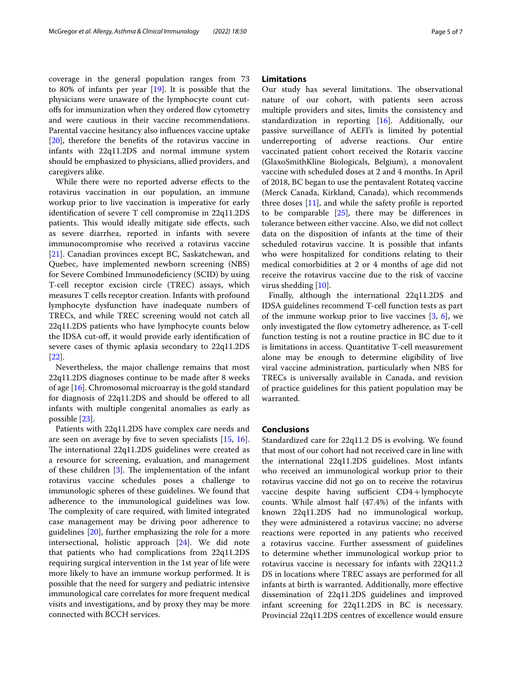coverage in the general population ranges from 73 to 80% of infants per year [\[19](#page-5-17)]. It is possible that the physicians were unaware of the lymphocyte count cutofs for immunization when they ordered fow cytometry and were cautious in their vaccine recommendations. Parental vaccine hesitancy also infuences vaccine uptake [[20\]](#page-5-18), therefore the benefts of the rotavirus vaccine in infants with 22q11.2DS and normal immune system should be emphasized to physicians, allied providers, and caregivers alike.

While there were no reported adverse efects to the rotavirus vaccination in our population, an immune workup prior to live vaccination is imperative for early identifcation of severe T cell compromise in 22q11.2DS patients. This would ideally mitigate side effects, such as severe diarrhea, reported in infants with severe immunocompromise who received a rotavirus vaccine [[21\]](#page-5-19). Canadian provinces except BC, Saskatchewan, and Quebec, have implemented newborn screening (NBS) for Severe Combined Immunodefciency (SCID) by using T-cell receptor excision circle (TREC) assays, which measures T cells receptor creation. Infants with profound lymphocyte dysfunction have inadequate numbers of TRECs, and while TREC screening would not catch all 22q11.2DS patients who have lymphocyte counts below the IDSA cut-of, it would provide early identifcation of severe cases of thymic aplasia secondary to 22q11.2DS [[22\]](#page-5-20).

Nevertheless, the major challenge remains that most 22q11.2DS diagnoses continue to be made after 8 weeks of age [[16\]](#page-5-14). Chromosomal microarray is the gold standard for diagnosis of 22q11.2DS and should be ofered to all infants with multiple congenital anomalies as early as possible [\[23](#page-5-21)].

Patients with 22q11.2DS have complex care needs and are seen on average by fve to seven specialists [[15,](#page-5-13) [16](#page-5-14)]. The international 22q11.2DS guidelines were created as a resource for screening, evaluation, and management of these children  $[3]$  $[3]$ . The implementation of the infant rotavirus vaccine schedules poses a challenge to immunologic spheres of these guidelines. We found that adherence to the immunological guidelines was low. The complexity of care required, with limited integrated case management may be driving poor adherence to guidelines [[20](#page-5-18)], further emphasizing the role for a more intersectional, holistic approach [\[24\]](#page-6-0). We did note that patients who had complications from 22q11.2DS requiring surgical intervention in the 1st year of life were more likely to have an immune workup performed. It is possible that the need for surgery and pediatric intensive immunological care correlates for more frequent medical visits and investigations, and by proxy they may be more connected with BCCH services.

## **Limitations**

Our study has several limitations. The observational nature of our cohort, with patients seen across multiple providers and sites, limits the consistency and standardization in reporting [\[16](#page-5-14)]. Additionally, our passive surveillance of AEFI's is limited by potential underreporting of adverse reactions. Our entire vaccinated patient cohort received the Rotarix vaccine (GlaxoSmithKline Biologicals, Belgium), a monovalent vaccine with scheduled doses at 2 and 4 months. In April of 2018, BC began to use the pentavalent Rotateq vaccine (Merck Canada, Kirkland, Canada), which recommends three doses  $[11]$  $[11]$ , and while the safety profile is reported to be comparable  $[25]$  $[25]$ , there may be differences in tolerance between either vaccine. Also, we did not collect data on the disposition of infants at the time of their scheduled rotavirus vaccine. It is possible that infants who were hospitalized for conditions relating to their medical comorbidities at 2 or 4 months of age did not receive the rotavirus vaccine due to the risk of vaccine virus shedding [[10\]](#page-5-8).

Finally, although the international 22q11.2DS and IDSA guidelines recommend T-cell function tests as part of the immune workup prior to live vaccines  $[3, 6]$  $[3, 6]$  $[3, 6]$  $[3, 6]$ , we only investigated the flow cytometry adherence, as T-cell function testing is not a routine practice in BC due to it is limitations in access. Quantitative T-cell measurement alone may be enough to determine eligibility of live viral vaccine administration, particularly when NBS for TRECs is universally available in Canada, and revision of practice guidelines for this patient population may be warranted.

## **Conclusions**

Standardized care for 22q11.2 DS is evolving. We found that most of our cohort had not received care in line with the international 22q11.2DS guidelines. Most infants who received an immunological workup prior to their rotavirus vaccine did not go on to receive the rotavirus vaccine despite having sufficient  $CD4 +$ lymphocyte counts. While almost half (47.4%) of the infants with known 22q11.2DS had no immunological workup, they were administered a rotavirus vaccine; no adverse reactions were reported in any patients who received a rotavirus vaccine. Further assessment of guidelines to determine whether immunological workup prior to rotavirus vaccine is necessary for infants with 22Q11.2 DS in locations where TREC assays are performed for all infants at birth is warranted. Additionally, more efective dissemination of 22q11.2DS guidelines and improved infant screening for 22q11.2DS in BC is necessary. Provincial 22q11.2DS centres of excellence would ensure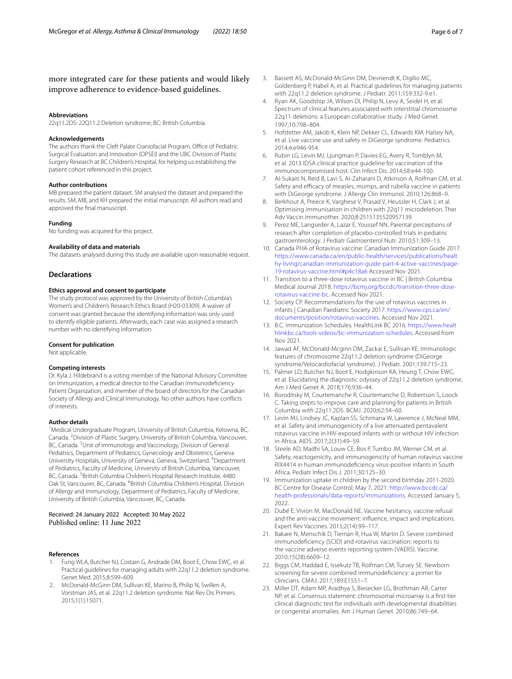## more integrated care for these patients and would likely improve adherence to evidence-based guidelines.

#### **Abbreviations**

22q11.2DS: 22Q11.2 Deletion syndrome; BC: British Columbia.

#### **Acknowledgements**

The authors thank the Cleft Palate Craniofacial Program, Office of Pediatric Surgical Evaluation and Innovation (OPSEI) and the UBC Division of Plastic Surgery Research at BC Children's Hospital, for helping us establishing the patient cohort referenced in this project.

#### **Author contributions**

MB prepared the patient dataset. SM analysed the dataset and prepared the results. SM, MB, and KH prepared the initial manuscript. All authors read and approved the fnal manuscript.

#### **Funding**

No funding was acquired for this project.

#### **Availability of data and materials**

The datasets analysed during this study are available upon reasonable request.

#### **Declarations**

#### **Ethics approval and consent to participate**

The study protocol was approved by the University of British Columbia's Women's and Children's Research Ethics Board (H20-03309). A waiver of consent was granted because the identifying information was only used to identify eligible patients. Afterwards, each case was assigned a research number with no identifying information.

#### **Consent for publication**

Not applicable.

#### **Competing interests**

Dr. Kyla J. Hildebrand is a voting member of the National Advisory Committee on Immunization, a medical director to the Canadian Immunodefciency Patient Organization, and member of the board of directors for the Canadian Society of Allergy and Clinical Immunology. No other authors have conficts of interests.

#### **Author details**

<sup>1</sup> Medical Undergraduate Program, University of British Columbia, Kelowna, BC, Canada. <sup>2</sup> Division of Plastic Surgery, University of British Columbia, Vancouver, BC, Canada. <sup>3</sup>Unit of Immunology and Vaccinology, Division of General Pediatrics, Department of Pediatrics, Gynecology and Obstetrics, Geneva University Hospitals, University of Geneva, Geneva, Switzerland. <sup>4</sup>Department of Pediatrics, Faculty of Medicine, University of British Columbia, Vancouver, BC, Canada. <sup>5</sup> British Columbia Children's Hospital Research Institute, 4480 Oak St, Vancouver, BC, Canada. <sup>6</sup> British Columbia Children's Hospital, Division of Allergy and Immunology, Department of Pediatrics, Faculty of Medicine, University of British Columbia, Vancouver, BC, Canada.

#### Received: 24 January 2022 Accepted: 30 May 2022 Published online: 11 June 2022

#### **References**

- <span id="page-5-0"></span>1. Fung WLA, Butcher NJ, Costain G, Andrade DM, Boot E, Chow EWC, et al. Practical guidelines for managing adults with 22q11.2 deletion syndrome. Genet Med. 2015;8:599–609.
- <span id="page-5-1"></span>2. McDonald-McGinn DM, Sullivan KE, Marino B, Philip N, Swillen A, Vorstman JAS, et al. 22q11.2 deletion syndrome. Nat Rev Dis Primers. 2015;1(1):15071.
- <span id="page-5-2"></span>3. Bassett AS, McDonald-McGinn DM, Devriendt K, Digilio MC, Goldenberg P, Habel A, et al. Practical guidelines for managing patients with 22q11.2 deletion syndrome. J Pediatr. 2011;159:332-9.e1.
- <span id="page-5-3"></span>4. Ryan AK, Goodship JA, Wilson DI, Philip N, Levy A, Seidel H, et al. Spectrum of clinical features associated with interstitial chromosome 22q11 deletions: a European collaborative study. J Med Genet. 1997;10:798–804.
- <span id="page-5-4"></span>5. Hofstetter AM, Jakob K, Klein NP, Dekker CL, Edwards KM, Halsey NA, et al. Live vaccine use and safety in DiGeorge syndrome. Pediatrics. 2014;4:e946-954.
- <span id="page-5-5"></span>6. Rubin LG, Levin MJ, Ljungman P, Davies EG, Avery R, Tomblyn M, et al. 2013 IDSA clinical practice guideline for vaccination of the immunocompromised host. Clin Infect Dis. 2014;58:e44-100.
- <span id="page-5-6"></span>7. Al-Sukaiti N, Reid B, Lavi S, Al-Zaharani D, Atkinson A, Roifman CM, et al. Safety and efficacy of measles, mumps, and rubella vaccine in patients with DiGeorge syndrome. J Allergy Clin Immunol. 2010;126:868–9.
- 8. Berkhout A, Preece K, Varghese V, Prasad V, Heussler H, Clark J, et al. Optimising immunisation in children with 22q11 microdeletion. Ther Adv Vaccin Immunother. 2020;8:2515135520957139.
- <span id="page-5-7"></span>9. Perez ME, Langseder A, Lazar E, Youssef NN. Parental perceptions of research after completion of placebo-controlled trials in pediatric gastroenterology. J Pediatr Gastroenterol Nutr. 2010;51:309–13.
- <span id="page-5-8"></span>10. Canada PHA of Rotavirus vaccine: Canadian Immunization Guide 2017. [https://www.canada.ca/en/public-health/services/publications/healt](https://www.canada.ca/en/public-health/services/publications/healthy-living/canadian-immunization-guide-part-4-active-vaccines/page-19-rotavirus-vaccine.html#p4c18a6) [hy-living/canadian-immunization-guide-part-4-active-vaccines/page-](https://www.canada.ca/en/public-health/services/publications/healthy-living/canadian-immunization-guide-part-4-active-vaccines/page-19-rotavirus-vaccine.html#p4c18a6) [19-rotavirus-vaccine.html#p4c18a6](https://www.canada.ca/en/public-health/services/publications/healthy-living/canadian-immunization-guide-part-4-active-vaccines/page-19-rotavirus-vaccine.html#p4c18a6) Accessed Nov 2021.
- <span id="page-5-9"></span>11. Transition to a three-dose rotavirus vaccine in BC | British Columbia Medical Journal 2018. [https://bcmj.org/bccdc/transition-three-dose](https://bcmj.org/bccdc/transition-three-dose-rotavirus-vaccine-bc) [rotavirus-vaccine-bc](https://bcmj.org/bccdc/transition-three-dose-rotavirus-vaccine-bc). Accessed Nov 2021.
- <span id="page-5-10"></span>12. Society CP. Recommendations for the use of rotavirus vaccines in infants | Canadian Paediatric Society 2017. [https://www.cps.ca/en/](https://www.cps.ca/en/documents/position/rotavirus-vaccines) [documents/position/rotavirus-vaccines.](https://www.cps.ca/en/documents/position/rotavirus-vaccines) Accessed Nov 2021.
- <span id="page-5-11"></span>13. B.C. Immunization Schedules. HealthLink BC 2016. [https://www.healt](https://www.healthlinkbc.ca/tools-videos/bc-immunization-schedules) [hlinkbc.ca/tools-videos/bc-immunization-schedules.](https://www.healthlinkbc.ca/tools-videos/bc-immunization-schedules) Accessed from Nov 2021.
- <span id="page-5-12"></span>14. Jawad AF, McDonald-Mcginn DM, Zackai E, Sullivan KE. Immunologic features of chromosome 22q11.2 deletion syndrome (DiGeorge syndrome/Velocardiofacial syndrome). J Pediatr. 2001;139:715–23.
- <span id="page-5-13"></span>15. Palmer LD, Butcher NJ, Boot E, Hodgkinson KA, Heung T, Chow EWC, et al. Elucidating the diagnostic odyssey of 22q11.2 deletion syndrome. Am J Med Genet A. 2018;176:936–44.
- <span id="page-5-14"></span>16. Boroditsky M, Courtemanche R, Courtemanche D, Robertson S, Loock C. Taking stepts to improve care and planning for patients in British Columbia with 22q11.2DS. BCMJ. 2020;62:54–60.
- <span id="page-5-15"></span>17. Levin MJ, Lindsey JC, Kaplan SS, Schimana W, Lawrence J, McNeal MM, et al. Safety and immunogenicity of a live attenuated pentavalent rotavirus vaccine in HIV-exposed infants with or without HIV infection in Africa. AIDS. 2017;2(31):49–59.
- <span id="page-5-16"></span>18. Steele AD, Madhi SA, Louw CE, Bos P, Tumbo JM, Werner CM, et al. Safety, reactogenicity, and immunogenicity of human rotavirus vaccine RIX4414 in human immunodefciency virus-positive infants in South Africa. Pediatr Infect Dis J. 2011;30:125–30.
- <span id="page-5-17"></span>19. Immunization uptake in children by the second birthday 2011-2020. BC Centre for Disease Control; May 7, 2021. [http://www.bccdc.ca/](http://www.bccdc.ca/health-professionals/data-reports/immunizations) [health-professionals/data-reports/immunizations](http://www.bccdc.ca/health-professionals/data-reports/immunizations). Accessed January 5, 2022.
- <span id="page-5-18"></span>20. Dubé E, Vivion M, MacDonald NE. Vaccine hesitancy, vaccine refusal and the anti-vaccine movement: infuence, impact and implications. Expert Rev Vaccines. 2015;2(14):99–117.
- <span id="page-5-19"></span>21. Bakare N, Menschik D, Tiernan R, Hua W, Martin D. Severe combined immunodefciency (SCID) and rotavirus vaccination: reports to the vaccine adverse events reporting system (VAERS). Vaccine. 2010;15(28):6609–12.
- <span id="page-5-20"></span>22. Biggs CM, Haddad E, Issekutz TB, Roifman CM, Turvey SE. Newborn screening for severe combined immunodefciency: a primer for clinicians. CMAJ. 2017;189:E1551–7.
- <span id="page-5-21"></span>23. Miller DT, Adam MP, Aradhya S, Biesecker LG, Brothman AR, Carter NP, et al. Consensus statement: chromosomal microarray is a frst-tier clinical diagnostic test for individuals with developmental disabilities or congenital anomalies. Am J Human Genet. 2010;86:749–64.